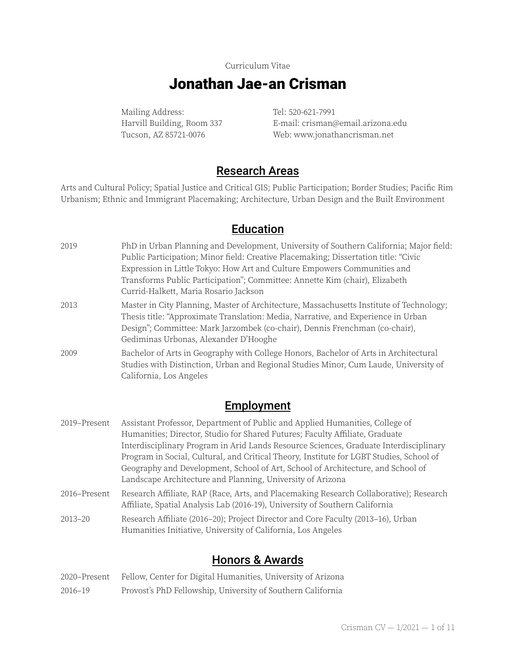#### Curriculum Vitae

## Jonathan Jae-an Crisman

Mailing Address: Tel: 520-621-7991

Harvill Building, Room 337 E-mail: crisman@email.arizona.edu Tucson, AZ 85721-0076 Web: www.jonathancrisman.net

## Research Areas

Arts and Cultural Policy; Spatial Justice and Critical GIS; Public Participation; Border Studies; Pacific Rim Urbanism; Ethnic and Immigrant Placemaking; Architecture, Urban Design and the Built Environment

### Education

| 2019 | PhD in Urban Planning and Development, University of Southern California; Major field:<br>Public Participation; Minor field: Creative Placemaking; Dissertation title: "Civic<br>Expression in Little Tokyo: How Art and Culture Empowers Communities and<br>Transforms Public Participation"; Committee: Annette Kim (chair), Elizabeth<br>Currid-Halkett, Maria Rosario Jackson |
|------|-----------------------------------------------------------------------------------------------------------------------------------------------------------------------------------------------------------------------------------------------------------------------------------------------------------------------------------------------------------------------------------|
| 2013 | Master in City Planning, Master of Architecture, Massachusetts Institute of Technology;<br>Thesis title: "Approximate Translation: Media, Narrative, and Experience in Urban<br>Design"; Committee: Mark Jarzombek (co-chair), Dennis Frenchman (co-chair),<br>Gediminas Urbonas, Alexander D'Hooghe                                                                              |
| 2009 | Bachelor of Arts in Geography with College Honors, Bachelor of Arts in Architectural<br>Studies with Distinction, Urban and Regional Studies Minor, Cum Laude, University of<br>California, Los Angeles                                                                                                                                                                           |

## **Employment**

- 2019–Present Assistant Professor, Department of Public and Applied Humanities, College of Humanities; Director, Studio for Shared Futures; Faculty Affiliate, Graduate Interdisciplinary Program in Arid Lands Resource Sciences, Graduate Interdisciplinary Program in Social, Cultural, and Critical Theory, Institute for LGBT Studies, School of Geography and Development, School of Art, School of Architecture, and School of Landscape Architecture and Planning, University of Arizona 2016–Present Research Affiliate, RAP (Race, Arts, and Placemaking Research Collaborative); Research
- Affiliate, Spatial Analysis Lab (2016-19), University of Southern California
- 2013–20 Research Affiliate (2016–20); Project Director and Core Faculty (2013–16), Urban Humanities Initiative, University of California, Los Angeles

## Honors & Awards

|  |  |  | 2020–Present Fellow, Center for Digital Humanities, University of Arizona |
|--|--|--|---------------------------------------------------------------------------|
|--|--|--|---------------------------------------------------------------------------|

2016–19 Provost's PhD Fellowship, University of Southern California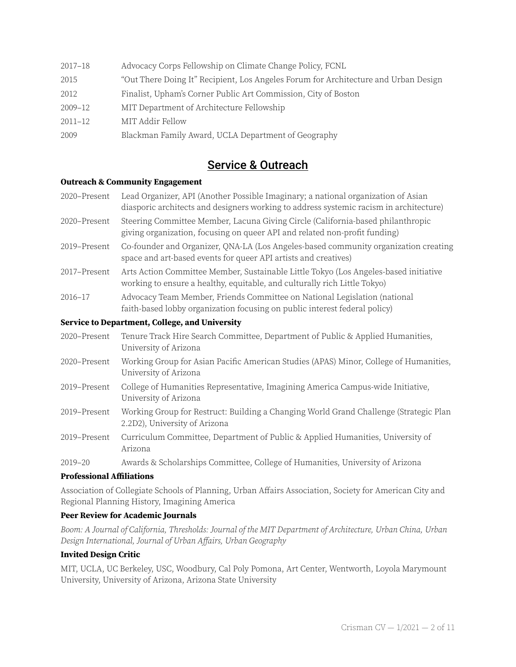2017–18 Advocacy Corps Fellowship on Climate Change Policy, FCNL 2015 "Out There Doing It" Recipient, Los Angeles Forum for Architecture and Urban Design 2012 Finalist, Upham's Corner Public Art Commission, City of Boston 2009–12 MIT Department of Architecture Fellowship 2011–12 MIT Addir Fellow 2009 Blackman Family Award, UCLA Department of Geography

## Service & Outreach

#### **Outreach & Community Engagement**

- 2020–Present Lead Organizer, API (Another Possible Imaginary; a national organization of Asian diasporic architects and designers working to address systemic racism in architecture)
- 2020–Present Steering Committee Member, Lacuna Giving Circle (California-based philanthropic giving organization, focusing on queer API and related non-profit funding)
- 2019–Present Co-founder and Organizer, QNA-LA (Los Angeles-based community organization creating space and art-based events for queer API artists and creatives)
- 2017–Present Arts Action Committee Member, Sustainable Little Tokyo (Los Angeles-based initiative working to ensure a healthy, equitable, and culturally rich Little Tokyo)
- 2016–17 Advocacy Team Member, Friends Committee on National Legislation (national faith-based lobby organization focusing on public interest federal policy)

#### **Service to Department, College, and University**

- 2020–Present Tenure Track Hire Search Committee, Department of Public & Applied Humanities, University of Arizona
- 2020–Present Working Group for Asian Pacific American Studies (APAS) Minor, College of Humanities, University of Arizona
- 2019–Present College of Humanities Representative, Imagining America Campus-wide Initiative, University of Arizona
- 2019–Present Working Group for Restruct: Building a Changing World Grand Challenge (Strategic Plan 2.2D2), University of Arizona
- 2019–Present Curriculum Committee, Department of Public & Applied Humanities, University of Arizona
- 2019–20 Awards & Scholarships Committee, College of Humanities, University of Arizona

#### **Professional Affiliations**

Association of Collegiate Schools of Planning, Urban Affairs Association, Society for American City and Regional Planning History, Imagining America

#### **Peer Review for Academic Journals**

Boom: A Journal of California, Thresholds: Journal of the MIT Department of Architecture, Urban China, Urban Design International, Journal of Urban Affairs, Urban Geography

#### **Invited Design Critic**

MIT, UCLA, UC Berkeley, USC, Woodbury, Cal Poly Pomona, Art Center, Wentworth, Loyola Marymount University, University of Arizona, Arizona State University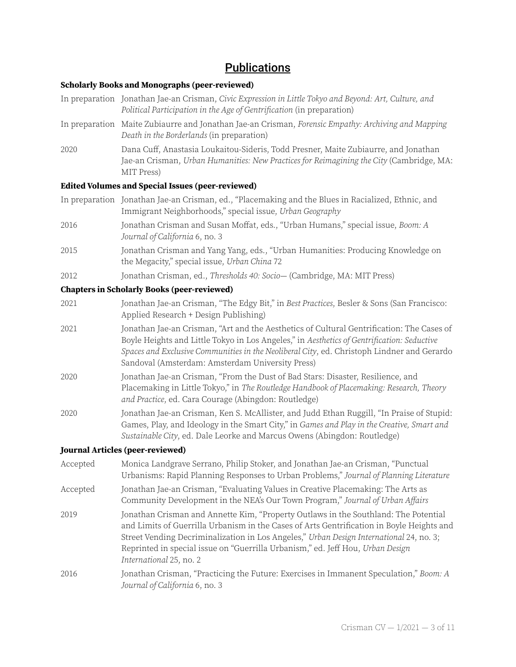## **Publications**

#### **Scholarly Books and Monographs (peer-reviewed)**

- In preparation Jonathan Jae-an Crisman, Civic Expression in Little Tokyo and Beyond: Art, Culture, and Political Participation in the Age of Gentrification (in preparation)
- In preparation Maite Zubiaurre and Jonathan Jae-an Crisman, Forensic Empathy: Archiving and Mapping Death in the Borderlands (in preparation)
- 2020 Dana Cuff, Anastasia Loukaitou-Sideris, Todd Presner, Maite Zubiaurre, and Jonathan Jae-an Crisman, Urban Humanities: New Practices for Reimagining the City (Cambridge, MA: MIT Press)

#### **Edited Volumes and Special Issues (peer-reviewed)**

- In preparation Jonathan Jae-an Crisman, ed., "Placemaking and the Blues in Racialized, Ethnic, and Immigrant Neighborhoods," special issue, Urban Geography
- 2016 Jonathan Crisman and Susan Moffat, eds., "Urban Humans," special issue, Boom: A Journal of California 6, no. 3
- 2015 Jonathan Crisman and Yang Yang, eds., "Urban Humanities: Producing Knowledge on the Megacity," special issue, Urban China 72
- 2012 Jonathan Crisman, ed., Thresholds 40: Socio— (Cambridge, MA: MIT Press)

#### **Chapters in Scholarly Books (peer-reviewed)**

- 2021 Jonathan Jae-an Crisman, "The Edgy Bit," in Best Practices, Besler & Sons (San Francisco: Applied Research + Design Publishing)
- 2021 Jonathan Jae-an Crisman, "Art and the Aesthetics of Cultural Gentrification: The Cases of Boyle Heights and Little Tokyo in Los Angeles," in Aesthetics of Gentrification: Seductive Spaces and Exclusive Communities in the Neoliberal City, ed. Christoph Lindner and Gerardo Sandoval (Amsterdam: Amsterdam University Press)
- 2020 Jonathan Jae-an Crisman, "From the Dust of Bad Stars: Disaster, Resilience, and Placemaking in Little Tokyo," in The Routledge Handbook of Placemaking: Research, Theory and Practice, ed. Cara Courage (Abingdon: Routledge)
- 2020 Jonathan Jae-an Crisman, Ken S. McAllister, and Judd Ethan Ruggill, "In Praise of Stupid: Games, Play, and Ideology in the Smart City," in Games and Play in the Creative, Smart and Sustainable City, ed. Dale Leorke and Marcus Owens (Abingdon: Routledge)

#### **Journal Articles (peer-reviewed)**

- Accepted Monica Landgrave Serrano, Philip Stoker, and Jonathan Jae-an Crisman, "Punctual Urbanisms: Rapid Planning Responses to Urban Problems," Journal of Planning Literature
- Accepted Jonathan Jae-an Crisman, "Evaluating Values in Creative Placemaking: The Arts as Community Development in the NEA's Our Town Program," Journal of Urban Affairs
- 2019 Jonathan Crisman and Annette Kim, "Property Outlaws in the Southland: The Potential and Limits of Guerrilla Urbanism in the Cases of Arts Gentrification in Boyle Heights and Street Vending Decriminalization in Los Angeles," Urban Design International 24, no. 3; Reprinted in special issue on "Guerrilla Urbanism," ed. Jeff Hou, Urban Design International 25, no. 2
- 2016 Jonathan Crisman, "Practicing the Future: Exercises in Immanent Speculation," Boom: A Journal of California 6, no. 3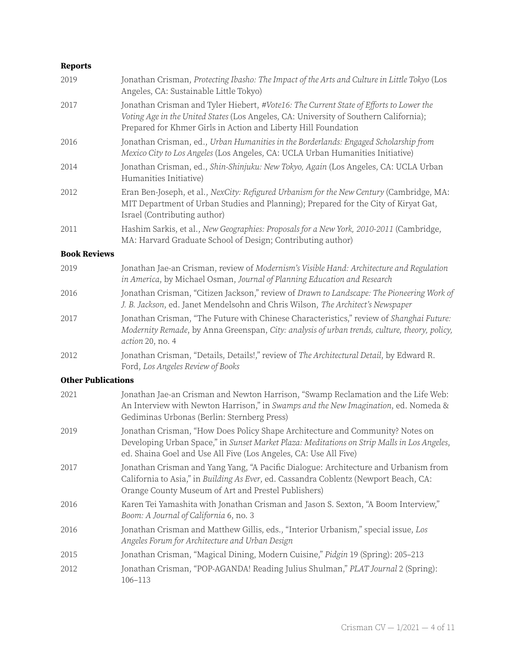### **Reports**

| 2019                      | Jonathan Crisman, Protecting Ibasho: The Impact of the Arts and Culture in Little Tokyo (Los<br>Angeles, CA: Sustainable Little Tokyo)                                                                                                            |
|---------------------------|---------------------------------------------------------------------------------------------------------------------------------------------------------------------------------------------------------------------------------------------------|
| 2017                      | Jonathan Crisman and Tyler Hiebert, #Vote16: The Current State of Efforts to Lower the<br>Voting Age in the United States (Los Angeles, CA: University of Southern California);<br>Prepared for Khmer Girls in Action and Liberty Hill Foundation |
| 2016                      | Jonathan Crisman, ed., Urban Humanities in the Borderlands: Engaged Scholarship from<br>Mexico City to Los Angeles (Los Angeles, CA: UCLA Urban Humanities Initiative)                                                                            |
| 2014                      | Jonathan Crisman, ed., Shin-Shinjuku: New Tokyo, Again (Los Angeles, CA: UCLA Urban<br>Humanities Initiative)                                                                                                                                     |
| 2012                      | Eran Ben-Joseph, et al., NexCity: Refigured Urbanism for the New Century (Cambridge, MA:<br>MIT Department of Urban Studies and Planning); Prepared for the City of Kiryat Gat,<br>Israel (Contributing author)                                   |
| 2011                      | Hashim Sarkis, et al., New Geographies: Proposals for a New York, 2010-2011 (Cambridge,<br>MA: Harvard Graduate School of Design; Contributing author)                                                                                            |
| <b>Book Reviews</b>       |                                                                                                                                                                                                                                                   |
| 2019                      | Jonathan Jae-an Crisman, review of Modernism's Visible Hand: Architecture and Regulation<br>in America, by Michael Osman, Journal of Planning Education and Research                                                                              |
| 2016                      | Jonathan Crisman, "Citizen Jackson," review of Drawn to Landscape: The Pioneering Work of<br>J. B. Jackson, ed. Janet Mendelsohn and Chris Wilson, The Architect's Newspaper                                                                      |
| 2017                      | Jonathan Crisman, "The Future with Chinese Characteristics," review of Shanghai Future:<br>Modernity Remade, by Anna Greenspan, City: analysis of urban trends, culture, theory, policy,<br>action 20, no. 4                                      |
| 2012                      | Jonathan Crisman, "Details, Details!," review of The Architectural Detail, by Edward R.<br>Ford, Los Angeles Review of Books                                                                                                                      |
| <b>Other Publications</b> |                                                                                                                                                                                                                                                   |
|                           |                                                                                                                                                                                                                                                   |

| 2021 | Jonathan Jae-an Crisman and Newton Harrison, "Swamp Reclamation and the Life Web:<br>An Interview with Newton Harrison," in Swamps and the New Imagination, ed. Nomeda &<br>Gediminas Urbonas (Berlin: Sternberg Press)                          |
|------|--------------------------------------------------------------------------------------------------------------------------------------------------------------------------------------------------------------------------------------------------|
| 2019 | Jonathan Crisman, "How Does Policy Shape Architecture and Community? Notes on<br>Developing Urban Space," in Sunset Market Plaza: Meditations on Strip Malls in Los Angeles,<br>ed. Shaina Goel and Use All Five (Los Angeles, CA: Use All Five) |
| 2017 | Jonathan Crisman and Yang Yang, "A Pacific Dialogue: Architecture and Urbanism from<br>California to Asia," in Building As Ever, ed. Cassandra Coblentz (Newport Beach, CA:<br>Orange County Museum of Art and Prestel Publishers)               |
| 2016 | Karen Tei Yamashita with Jonathan Crisman and Jason S. Sexton, "A Boom Interview,"<br>Boom: A Journal of California 6, no. 3                                                                                                                     |
| 2016 | Jonathan Crisman and Matthew Gillis, eds., "Interior Urbanism," special issue, Los<br>Angeles Forum for Architecture and Urban Design                                                                                                            |
| 2015 | Jonathan Crisman, "Magical Dining, Modern Cuisine," Pidgin 19 (Spring): 205-213                                                                                                                                                                  |
| 2012 | Jonathan Crisman, "POP-AGANDA! Reading Julius Shulman," PLAT Journal 2 (Spring):<br>106-113                                                                                                                                                      |
|      |                                                                                                                                                                                                                                                  |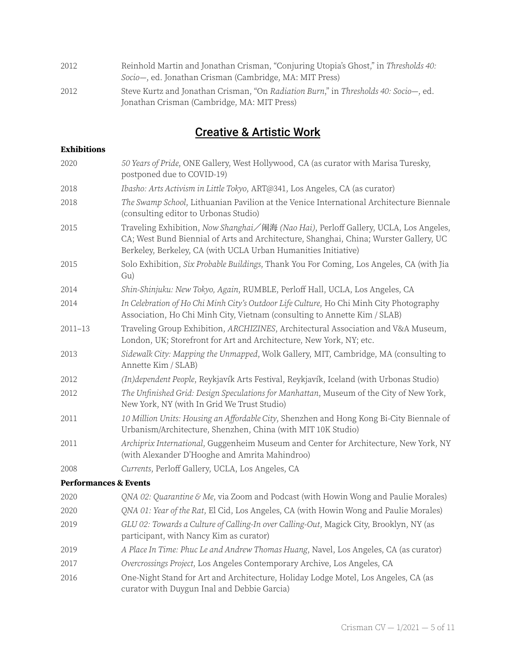| 2012 | Reinhold Martin and Jonathan Crisman, "Conjuring Utopia's Ghost," in Thresholds 40:<br>Socio-, ed. Jonathan Crisman (Cambridge, MA: MIT Press) |
|------|------------------------------------------------------------------------------------------------------------------------------------------------|
|      |                                                                                                                                                |
| 2012 | Steve Kurtz and Jonathan Crisman, "On Radiation Burn," in Thresholds 40: Socio-, ed.                                                           |
|      | Jonathan Crisman (Cambridge, MA: MIT Press)                                                                                                    |

# Creative & Artistic Work

#### **Exhibitions**

| 2020                             | 50 Years of Pride, ONE Gallery, West Hollywood, CA (as curator with Marisa Turesky,<br>postponed due to COVID-19)                                                                                                                               |
|----------------------------------|-------------------------------------------------------------------------------------------------------------------------------------------------------------------------------------------------------------------------------------------------|
| 2018                             | Ibasho: Arts Activism in Little Tokyo, ART@341, Los Angeles, CA (as curator)                                                                                                                                                                    |
| 2018                             | The Swamp School, Lithuanian Pavilion at the Venice International Architecture Biennale<br>(consulting editor to Urbonas Studio)                                                                                                                |
| 2015                             | Traveling Exhibition, Now Shanghai/闹海 (Nao Hai), Perloff Gallery, UCLA, Los Angeles,<br>CA; West Bund Biennial of Arts and Architecture, Shanghai, China; Wurster Gallery, UC<br>Berkeley, Berkeley, CA (with UCLA Urban Humanities Initiative) |
| 2015                             | Solo Exhibition, Six Probable Buildings, Thank You For Coming, Los Angeles, CA (with Jia<br>Gu)                                                                                                                                                 |
| 2014                             | Shin-Shinjuku: New Tokyo, Again, RUMBLE, Perloff Hall, UCLA, Los Angeles, CA                                                                                                                                                                    |
| 2014                             | In Celebration of Ho Chi Minh City's Outdoor Life Culture, Ho Chi Minh City Photography<br>Association, Ho Chi Minh City, Vietnam (consulting to Annette Kim / SLAB)                                                                            |
| $2011 - 13$                      | Traveling Group Exhibition, ARCHIZINES, Architectural Association and V&A Museum,<br>London, UK; Storefront for Art and Architecture, New York, NY; etc.                                                                                        |
| 2013                             | Sidewalk City: Mapping the Unmapped, Wolk Gallery, MIT, Cambridge, MA (consulting to<br>Annette Kim / SLAB)                                                                                                                                     |
| 2012                             | (In)dependent People, Reykjavík Arts Festival, Reykjavík, Iceland (with Urbonas Studio)                                                                                                                                                         |
| 2012                             | The Unfinished Grid: Design Speculations for Manhattan, Museum of the City of New York,<br>New York, NY (with In Grid We Trust Studio)                                                                                                          |
| 2011                             | 10 Million Units: Housing an Affordable City, Shenzhen and Hong Kong Bi-City Biennale of<br>Urbanism/Architecture, Shenzhen, China (with MIT 10K Studio)                                                                                        |
| 2011                             | Archiprix International, Guggenheim Museum and Center for Architecture, New York, NY<br>(with Alexander D'Hooghe and Amrita Mahindroo)                                                                                                          |
| 2008                             | Currents, Perloff Gallery, UCLA, Los Angeles, CA                                                                                                                                                                                                |
| <b>Performances &amp; Events</b> |                                                                                                                                                                                                                                                 |
| 2020                             | QNA 02: Quarantine & Me, via Zoom and Podcast (with Howin Wong and Paulie Morales)                                                                                                                                                              |
| 2020                             | QNA 01: Year of the Rat, El Cid, Los Angeles, CA (with Howin Wong and Paulie Morales)                                                                                                                                                           |
| 2019                             | GLU 02: Towards a Culture of Calling-In over Calling-Out, Magick City, Brooklyn, NY (as<br>participant, with Nancy Kim as curator)                                                                                                              |
| 2019                             | A Place In Time: Phuc Le and Andrew Thomas Huang, Navel, Los Angeles, CA (as curator)                                                                                                                                                           |
| 2017                             | Overcrossings Project, Los Angeles Contemporary Archive, Los Angeles, CA                                                                                                                                                                        |
| 2016                             | One-Night Stand for Art and Architecture, Holiday Lodge Motel, Los Angeles, CA (as<br>curator with Duygun Inal and Debbie Garcia)                                                                                                               |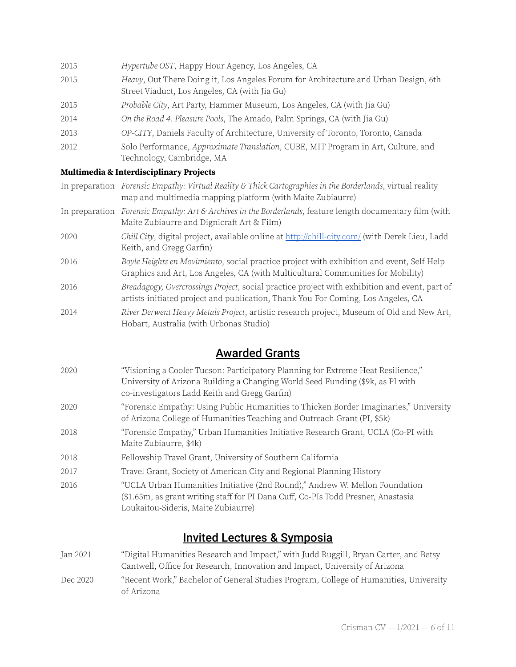| 2015 | Hypertube OST, Happy Hour Agency, Los Angeles, CA                                                                                    |
|------|--------------------------------------------------------------------------------------------------------------------------------------|
| 2015 | Heavy, Out There Doing it, Los Angeles Forum for Architecture and Urban Design, 6th<br>Street Viaduct, Los Angeles, CA (with Jia Gu) |
| 2015 | Probable City, Art Party, Hammer Museum, Los Angeles, CA (with Jia Gu)                                                               |
| 2014 | On the Road 4: Pleasure Pools, The Amado, Palm Springs, CA (with Jia Gu)                                                             |
| 2013 | OP-CITY, Daniels Faculty of Architecture, University of Toronto, Toronto, Canada                                                     |
| 2012 | Solo Performance, Approximate Translation, CUBE, MIT Program in Art, Culture, and<br>Technology, Cambridge, MA                       |

#### **Multimedia & Interdisciplinary Projects**

- In preparation Forensic Empathy: Virtual Reality & Thick Cartographies in the Borderlands, virtual reality map and multimedia mapping platform (with Maite Zubiaurre)
- In preparation Forensic Empathy: Art & Archives in the Borderlands, feature length documentary film (with Maite Zubiaurre and Dignicraft Art & Film)
- 2020 Chill City, digital project, available online at <http://chill-city.com/> (with Derek Lieu, Ladd Keith, and Gregg Garfin)
- 2016 Boyle Heights en Movimiento, social practice project with exhibition and event, Self Help Graphics and Art, Los Angeles, CA (with Multicultural Communities for Mobility)
- 2016 Breadagogy, Overcrossings Project, social practice project with exhibition and event, part of artists-initiated project and publication, Thank You For Coming, Los Angeles, CA
- 2014 River Derwent Heavy Metals Project, artistic research project, Museum of Old and New Art, Hobart, Australia (with Urbonas Studio)

## Awarded Grants

- 2020 "Visioning a Cooler Tucson: Participatory Planning for Extreme Heat Resilience," University of Arizona Building a Changing World Seed Funding (\$9k, as PI with co-investigators Ladd Keith and Gregg Garfin)
- 2020 "Forensic Empathy: Using Public Humanities to Thicken Border Imaginaries," University of Arizona College of Humanities Teaching and Outreach Grant (PI, \$5k)
- 2018 "Forensic Empathy," Urban Humanities Initiative Research Grant, UCLA (Co-PI with Maite Zubiaurre, \$4k)
- 2018 Fellowship Travel Grant, University of Southern California
- 2017 Travel Grant, Society of American City and Regional Planning History
- 2016 "UCLA Urban Humanities Initiative (2nd Round)," Andrew W. Mellon Foundation (\$1.65m, as grant writing staff for PI Dana Cuff, Co-PIs Todd Presner, Anastasia Loukaitou-Sideris, Maite Zubiaurre)

## Invited Lectures & Symposia

Jan 2021 "Digital Humanities Research and Impact," with Judd Ruggill, Bryan Carter, and Betsy Cantwell, Office for Research, Innovation and Impact, University of Arizona Dec 2020 "Recent Work," Bachelor of General Studies Program, College of Humanities, University of Arizona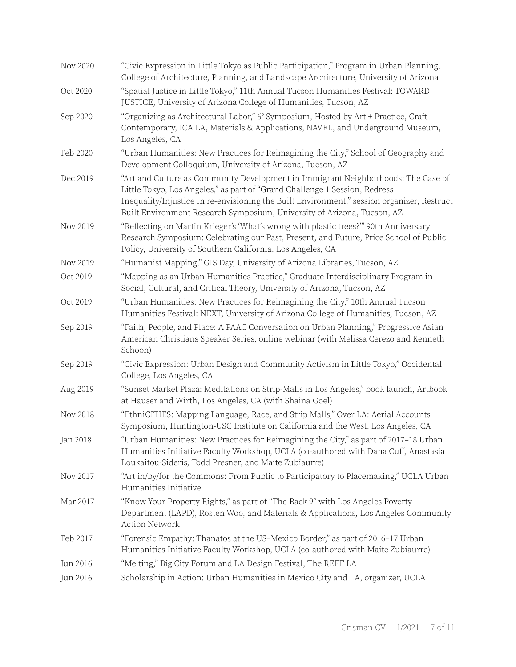| Nov 2020 | "Civic Expression in Little Tokyo as Public Participation," Program in Urban Planning,<br>College of Architecture, Planning, and Landscape Architecture, University of Arizona                                                                                                                                                           |
|----------|------------------------------------------------------------------------------------------------------------------------------------------------------------------------------------------------------------------------------------------------------------------------------------------------------------------------------------------|
| Oct 2020 | "Spatial Justice in Little Tokyo," 11th Annual Tucson Humanities Festival: TOWARD<br>JUSTICE, University of Arizona College of Humanities, Tucson, AZ                                                                                                                                                                                    |
| Sep 2020 | "Organizing as Architectural Labor," 6° Symposium, Hosted by Art + Practice, Craft<br>Contemporary, ICA LA, Materials & Applications, NAVEL, and Underground Museum,<br>Los Angeles, CA                                                                                                                                                  |
| Feb 2020 | "Urban Humanities: New Practices for Reimagining the City," School of Geography and<br>Development Colloquium, University of Arizona, Tucson, AZ                                                                                                                                                                                         |
| Dec 2019 | "Art and Culture as Community Development in Immigrant Neighborhoods: The Case of<br>Little Tokyo, Los Angeles," as part of "Grand Challenge 1 Session, Redress<br>Inequality/Injustice In re-envisioning the Built Environment," session organizer, Restruct<br>Built Environment Research Symposium, University of Arizona, Tucson, AZ |
| Nov 2019 | "Reflecting on Martin Krieger's 'What's wrong with plastic trees?" 90th Anniversary<br>Research Symposium: Celebrating our Past, Present, and Future, Price School of Public<br>Policy, University of Southern California, Los Angeles, CA                                                                                               |
| Nov 2019 | "Humanist Mapping," GIS Day, University of Arizona Libraries, Tucson, AZ                                                                                                                                                                                                                                                                 |
| Oct 2019 | "Mapping as an Urban Humanities Practice," Graduate Interdisciplinary Program in<br>Social, Cultural, and Critical Theory, University of Arizona, Tucson, AZ                                                                                                                                                                             |
| Oct 2019 | "Urban Humanities: New Practices for Reimagining the City," 10th Annual Tucson<br>Humanities Festival: NEXT, University of Arizona College of Humanities, Tucson, AZ                                                                                                                                                                     |
| Sep 2019 | "Faith, People, and Place: A PAAC Conversation on Urban Planning," Progressive Asian<br>American Christians Speaker Series, online webinar (with Melissa Cerezo and Kenneth<br>Schoon)                                                                                                                                                   |
| Sep 2019 | "Civic Expression: Urban Design and Community Activism in Little Tokyo," Occidental<br>College, Los Angeles, CA                                                                                                                                                                                                                          |
| Aug 2019 | "Sunset Market Plaza: Meditations on Strip-Malls in Los Angeles," book launch, Artbook<br>at Hauser and Wirth, Los Angeles, CA (with Shaina Goel)                                                                                                                                                                                        |
| Nov 2018 | "EthniCITIES: Mapping Language, Race, and Strip Malls," Over LA: Aerial Accounts<br>Symposium, Huntington-USC Institute on California and the West, Los Angeles, CA                                                                                                                                                                      |
| Jan 2018 | "Urban Humanities: New Practices for Reimagining the City," as part of 2017-18 Urban<br>Humanities Initiative Faculty Workshop, UCLA (co-authored with Dana Cuff, Anastasia<br>Loukaitou-Sideris, Todd Presner, and Maite Zubiaurre)                                                                                                     |
| Nov 2017 | "Art in/by/for the Commons: From Public to Participatory to Placemaking," UCLA Urban<br>Humanities Initiative                                                                                                                                                                                                                            |
| Mar 2017 | "Know Your Property Rights," as part of "The Back 9" with Los Angeles Poverty<br>Department (LAPD), Rosten Woo, and Materials & Applications, Los Angeles Community<br><b>Action Network</b>                                                                                                                                             |
| Feb 2017 | "Forensic Empathy: Thanatos at the US-Mexico Border," as part of 2016–17 Urban<br>Humanities Initiative Faculty Workshop, UCLA (co-authored with Maite Zubiaurre)                                                                                                                                                                        |
| Jun 2016 | "Melting," Big City Forum and LA Design Festival, The REEF LA                                                                                                                                                                                                                                                                            |
| Jun 2016 | Scholarship in Action: Urban Humanities in Mexico City and LA, organizer, UCLA                                                                                                                                                                                                                                                           |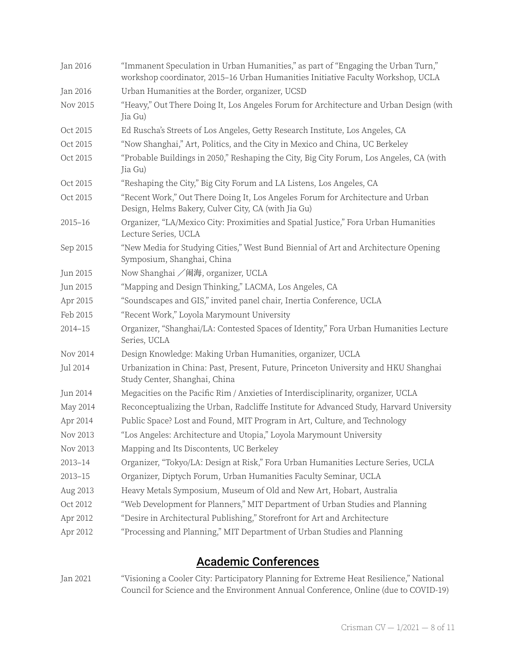| Jan 2016    | "Immanent Speculation in Urban Humanities," as part of "Engaging the Urban Turn,"<br>workshop coordinator, 2015-16 Urban Humanities Initiative Faculty Workshop, UCLA |
|-------------|-----------------------------------------------------------------------------------------------------------------------------------------------------------------------|
| Jan 2016    | Urban Humanities at the Border, organizer, UCSD                                                                                                                       |
| Nov 2015    | "Heavy," Out There Doing It, Los Angeles Forum for Architecture and Urban Design (with<br>Jia Gu)                                                                     |
| Oct 2015    | Ed Ruscha's Streets of Los Angeles, Getty Research Institute, Los Angeles, CA                                                                                         |
| Oct 2015    | "Now Shanghai," Art, Politics, and the City in Mexico and China, UC Berkeley                                                                                          |
| Oct 2015    | "Probable Buildings in 2050," Reshaping the City, Big City Forum, Los Angeles, CA (with<br>Jia Gu)                                                                    |
| Oct 2015    | "Reshaping the City," Big City Forum and LA Listens, Los Angeles, CA                                                                                                  |
| Oct 2015    | "Recent Work," Out There Doing It, Los Angeles Forum for Architecture and Urban<br>Design, Helms Bakery, Culver City, CA (with Jia Gu)                                |
| $2015 - 16$ | Organizer, "LA/Mexico City: Proximities and Spatial Justice," Fora Urban Humanities<br>Lecture Series, UCLA                                                           |
| Sep 2015    | "New Media for Studying Cities," West Bund Biennial of Art and Architecture Opening<br>Symposium, Shanghai, China                                                     |
| Jun 2015    | Now Shanghai /闹海, organizer, UCLA                                                                                                                                     |
| Jun 2015    | "Mapping and Design Thinking," LACMA, Los Angeles, CA                                                                                                                 |
| Apr 2015    | "Soundscapes and GIS," invited panel chair, Inertia Conference, UCLA                                                                                                  |
| Feb 2015    | "Recent Work," Loyola Marymount University                                                                                                                            |
| $2014 - 15$ | Organizer, "Shanghai/LA: Contested Spaces of Identity," Fora Urban Humanities Lecture<br>Series, UCLA                                                                 |
| Nov 2014    | Design Knowledge: Making Urban Humanities, organizer, UCLA                                                                                                            |
| Jul 2014    | Urbanization in China: Past, Present, Future, Princeton University and HKU Shanghai<br>Study Center, Shanghai, China                                                  |
| Jun 2014    | Megacities on the Pacific Rim / Anxieties of Interdisciplinarity, organizer, UCLA                                                                                     |
| May 2014    | Reconceptualizing the Urban, Radcliffe Institute for Advanced Study, Harvard University                                                                               |
| Apr 2014    | Public Space? Lost and Found, MIT Program in Art, Culture, and Technology                                                                                             |
| Nov 2013    | "Los Angeles: Architecture and Utopia," Loyola Marymount University                                                                                                   |
| Nov 2013    | Mapping and Its Discontents, UC Berkeley                                                                                                                              |
| 2013-14     | Organizer, "Tokyo/LA: Design at Risk," Fora Urban Humanities Lecture Series, UCLA                                                                                     |
| $2013 - 15$ | Organizer, Diptych Forum, Urban Humanities Faculty Seminar, UCLA                                                                                                      |
| Aug 2013    | Heavy Metals Symposium, Museum of Old and New Art, Hobart, Australia                                                                                                  |
| Oct 2012    | "Web Development for Planners," MIT Department of Urban Studies and Planning                                                                                          |
| Apr 2012    | "Desire in Architectural Publishing," Storefront for Art and Architecture                                                                                             |
| Apr 2012    | "Processing and Planning," MIT Department of Urban Studies and Planning                                                                                               |

## Academic Conferences

Jan 2021 "Visioning a Cooler City: Participatory Planning for Extreme Heat Resilience," National Council for Science and the Environment Annual Conference, Online (due to COVID-19)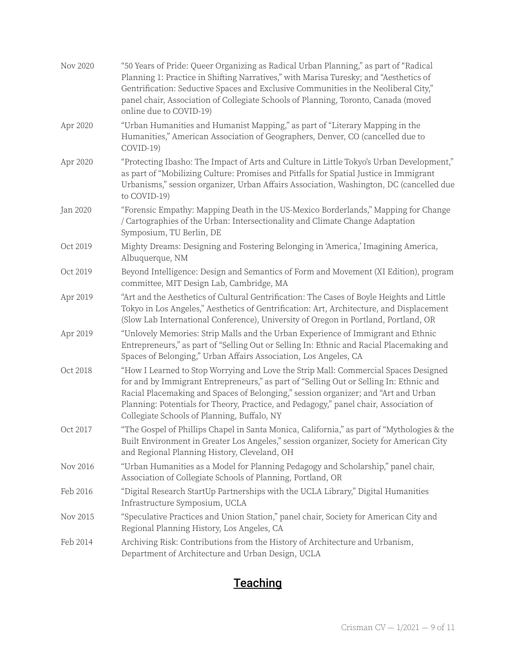| Nov 2020 | "50 Years of Pride: Queer Organizing as Radical Urban Planning," as part of "Radical<br>Planning 1: Practice in Shifting Narratives," with Marisa Turesky; and "Aesthetics of<br>Gentrification: Seductive Spaces and Exclusive Communities in the Neoliberal City,"<br>panel chair, Association of Collegiate Schools of Planning, Toronto, Canada (moved<br>online due to COVID-19)                       |
|----------|-------------------------------------------------------------------------------------------------------------------------------------------------------------------------------------------------------------------------------------------------------------------------------------------------------------------------------------------------------------------------------------------------------------|
| Apr 2020 | "Urban Humanities and Humanist Mapping," as part of "Literary Mapping in the<br>Humanities," American Association of Geographers, Denver, CO (cancelled due to<br>COVID-19)                                                                                                                                                                                                                                 |
| Apr 2020 | "Protecting Ibasho: The Impact of Arts and Culture in Little Tokyo's Urban Development,"<br>as part of "Mobilizing Culture: Promises and Pitfalls for Spatial Justice in Immigrant<br>Urbanisms," session organizer, Urban Affairs Association, Washington, DC (cancelled due<br>to COVID-19)                                                                                                               |
| Jan 2020 | "Forensic Empathy: Mapping Death in the US-Mexico Borderlands," Mapping for Change<br>/ Cartographies of the Urban: Intersectionality and Climate Change Adaptation<br>Symposium, TU Berlin, DE                                                                                                                                                                                                             |
| Oct 2019 | Mighty Dreams: Designing and Fostering Belonging in 'America,' Imagining America,<br>Albuquerque, NM                                                                                                                                                                                                                                                                                                        |
| Oct 2019 | Beyond Intelligence: Design and Semantics of Form and Movement (XI Edition), program<br>committee, MIT Design Lab, Cambridge, MA                                                                                                                                                                                                                                                                            |
| Apr 2019 | "Art and the Aesthetics of Cultural Gentrification: The Cases of Boyle Heights and Little<br>Tokyo in Los Angeles," Aesthetics of Gentrification: Art, Architecture, and Displacement<br>(Slow Lab International Conference), University of Oregon in Portland, Portland, OR                                                                                                                                |
| Apr 2019 | "Unlovely Memories: Strip Malls and the Urban Experience of Immigrant and Ethnic<br>Entrepreneurs," as part of "Selling Out or Selling In: Ethnic and Racial Placemaking and<br>Spaces of Belonging," Urban Affairs Association, Los Angeles, CA                                                                                                                                                            |
| Oct 2018 | "How I Learned to Stop Worrying and Love the Strip Mall: Commercial Spaces Designed<br>for and by Immigrant Entrepreneurs," as part of "Selling Out or Selling In: Ethnic and<br>Racial Placemaking and Spaces of Belonging," session organizer; and "Art and Urban<br>Planning: Potentials for Theory, Practice, and Pedagogy," panel chair, Association of<br>Collegiate Schools of Planning, Buffalo, NY |
| Oct 2017 | "The Gospel of Phillips Chapel in Santa Monica, California," as part of "Mythologies & the<br>Built Environment in Greater Los Angeles," session organizer, Society for American City<br>and Regional Planning History, Cleveland, OH                                                                                                                                                                       |
| Nov 2016 | "Urban Humanities as a Model for Planning Pedagogy and Scholarship," panel chair,<br>Association of Collegiate Schools of Planning, Portland, OR                                                                                                                                                                                                                                                            |
| Feb 2016 | "Digital Research StartUp Partnerships with the UCLA Library," Digital Humanities<br>Infrastructure Symposium, UCLA                                                                                                                                                                                                                                                                                         |
| Nov 2015 | "Speculative Practices and Union Station," panel chair, Society for American City and<br>Regional Planning History, Los Angeles, CA                                                                                                                                                                                                                                                                         |
| Feb 2014 | Archiving Risk: Contributions from the History of Architecture and Urbanism,<br>Department of Architecture and Urban Design, UCLA                                                                                                                                                                                                                                                                           |

# **Teaching**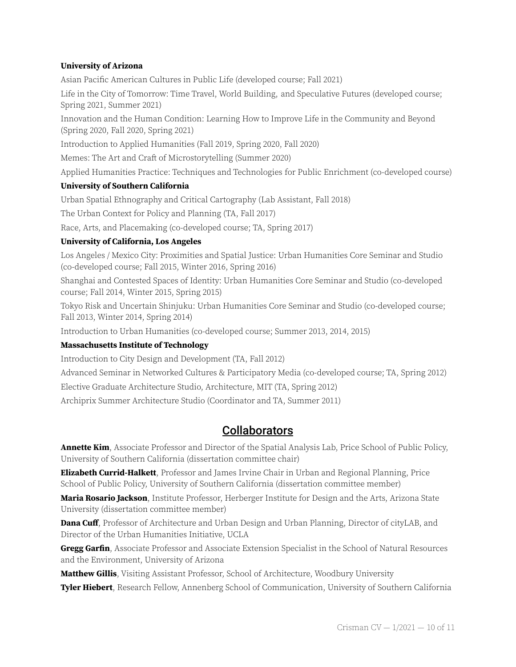#### **University of Arizona**

Asian Pacific American Cultures in Public Life (developed course; Fall 2021)

Life in the City of Tomorrow: Time Travel, World Building, and Speculative Futures (developed course; Spring 2021, Summer 2021)

Innovation and the Human Condition: Learning How to Improve Life in the Community and Beyond (Spring 2020, Fall 2020, Spring 2021)

Introduction to Applied Humanities (Fall 2019, Spring 2020, Fall 2020)

Memes: The Art and Craft of Microstorytelling (Summer 2020)

Applied Humanities Practice: Techniques and Technologies for Public Enrichment (co-developed course)

#### **University of Southern California**

Urban Spatial Ethnography and Critical Cartography (Lab Assistant, Fall 2018)

The Urban Context for Policy and Planning (TA, Fall 2017)

Race, Arts, and Placemaking (co-developed course; TA, Spring 2017)

#### **University of California, Los Angeles**

Los Angeles / Mexico City: Proximities and Spatial Justice: Urban Humanities Core Seminar and Studio (co-developed course; Fall 2015, Winter 2016, Spring 2016)

Shanghai and Contested Spaces of Identity: Urban Humanities Core Seminar and Studio (co-developed course; Fall 2014, Winter 2015, Spring 2015)

Tokyo Risk and Uncertain Shinjuku: Urban Humanities Core Seminar and Studio (co-developed course; Fall 2013, Winter 2014, Spring 2014)

Introduction to Urban Humanities (co-developed course; Summer 2013, 2014, 2015)

#### **Massachusetts Institute of Technology**

Introduction to City Design and Development (TA, Fall 2012)

Advanced Seminar in Networked Cultures & Participatory Media (co-developed course; TA, Spring 2012)

Elective Graduate Architecture Studio, Architecture, MIT (TA, Spring 2012)

Archiprix Summer Architecture Studio (Coordinator and TA, Summer 2011)

### **Collaborators**

**Annette Kim**, Associate Professor and Director of the Spatial Analysis Lab, Price School of Public Policy, University of Southern California (dissertation committee chair)

**Elizabeth Currid-Halkett**, Professor and James Irvine Chair in Urban and Regional Planning, Price School of Public Policy, University of Southern California (dissertation committee member)

**Maria Rosario Jackson**, Institute Professor, Herberger Institute for Design and the Arts, Arizona State University (dissertation committee member)

**Dana Cuff**, Professor of Architecture and Urban Design and Urban Planning, Director of cityLAB, and Director of the Urban Humanities Initiative, UCLA

**Gregg Garfin**, Associate Professor and Associate Extension Specialist in the School of Natural Resources and the Environment, University of Arizona

**Matthew Gillis**, Visiting Assistant Professor, School of Architecture, Woodbury University

**Tyler Hiebert**, Research Fellow, Annenberg School of Communication, University of Southern California